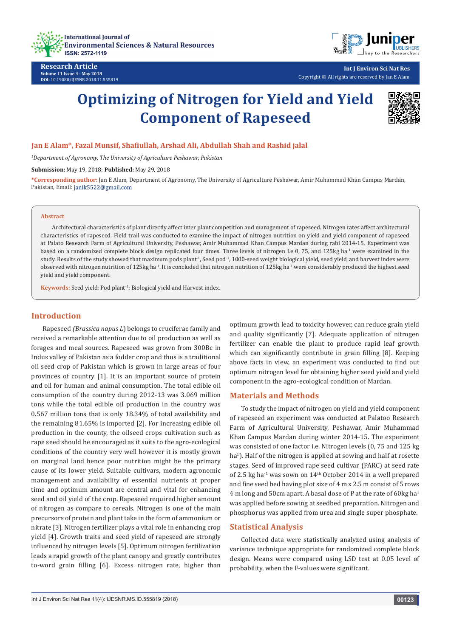



**Research Article Volume 11 Issue 4 - May 2018 DOI:** [10.19080/IJESNR.2018.11.555819](http://dx.doi.org/10.19080/IJESNR.2018.11.555819)

**Int J Environ Sci Nat Res** Copyright © All rights are reserved by Jan E Alam

# **Optimizing of Nitrogen for Yield and Yield Component of Rapeseed**



#### **Jan E Alam\*, Fazal Munsif, Shafiullah, Arshad Ali, Abdullah Shah and Rashid jalal**

<sup>1</sup>Department of Agronomy, The University of Agriculture Peshawar, Pakistan

**Submission:** May 19, 2018; **Published:** May 29, 2018

**\*Corresponding author:** Jan E Alam, Department of Agronomy, The University of Agriculture Peshawar, Amir Muhammad Khan Campus Mardan, Pakistan, Email: janik5522@gmail.com

#### **Abstract**

Architectural characteristics of plant directly affect inter plant competition and management of rapeseed. Nitrogen rates affect architectural characteristics of rapeseed. Field trail was conducted to examine the impact of nitrogen nutrition on yield and yield component of rapeseed at Palato Research Farm of Agricultural University, Peshawar, Amir Muhammad Khan Campus Mardan during rabi 2014-15. Experiment was based on a randomized complete block design replicated four times. Three levels of nitrogen i.e 0, 75, and 125kg ha<sup>-1</sup> were examined in the study. Results of the study showed that maximum pods plant<sup>1</sup>, Seed pod<sup>-1</sup>, 1000-seed weight biological yield, seed yield, and harvest index were observed with nitrogen nutrition of 125kg ha<sup>-1</sup>. It is concluded that nitrogen nutrition of 125kg ha<sup>-1</sup> were considerably produced the highest seed yield and yield component.

**Keywords:** Seed yield; Pod plant-1; Biological yield and Harvest index.

## **Introduction**

Rapeseed *(Brassica napus L*) belongs to cruciferae family and received a remarkable attention due to oil production as well as forages and meal sources. Rapeseed was grown from 300Bc in Indus valley of Pakistan as a fodder crop and thus is a traditional oil seed crop of Pakistan which is grown in large areas of four provinces of country [1]. It is an important source of protein and oil for human and animal consumption. The total edible oil consumption of the country during 2012-13 was 3.069 million tons while the total edible oil production in the country was 0.567 million tons that is only 18.34% of total availability and the remaining 81.65% is imported [2]. For increasing edible oil production in the county, the oilseed crops cultivation such as rape seed should be encouraged as it suits to the agro-ecological conditions of the country very well however it is mostly grown on marginal land hence poor nutrition might be the primary cause of its lower yield. Suitable cultivars, modern agronomic management and availability of essential nutrients at proper time and optimum amount are central and vital for enhancing seed and oil yield of the crop. Rapeseed required higher amount of nitrogen as compare to cereals. Nitrogen is one of the main precursors of protein and plant take in the form of ammonium or nitrate [3]. Nitrogen fertilizer plays a vital role in enhancing crop yield [4]. Growth traits and seed yield of rapeseed are strongly influenced by nitrogen levels [5]. Optimum nitrogen fertilization leads a rapid growth of the plant canopy and greatly contributes to-word grain filling [6]. Excess nitrogen rate, higher than

optimum growth lead to toxicity however, can reduce grain yield and quality significantly [7]. Adequate application of nitrogen fertilizer can enable the plant to produce rapid leaf growth which can significantly contribute in grain filling [8]. Keeping above facts in view, an experiment was conducted to find out optimum nitrogen level for obtaining higher seed yield and yield component in the agro-ecological condition of Mardan.

#### **Materials and Methods**

To study the impact of nitrogen on yield and yield component of rapeseed an experiment was conducted at Palatoo Research Farm of Agricultural University, Peshawar, Amir Muhammad Khan Campus Mardan during winter 2014-15. The experiment was consisted of one factor i.e. Nitrogen levels (0, 75 and 125 kg ha<sup>1</sup> ). Half of the nitrogen is applied at sowing and half at rosette stages. Seed of improved rape seed cultivar (PARC) at seed rate of 2.5 kg ha<sup>-1</sup> was sown on  $14<sup>th</sup>$  October 2014 in a well prepared and fine seed bed having plot size of 4 m x 2.5 m consist of 5 rows 4 m long and 50cm apart. A basal dose of P at the rate of 60kg ha<sup>1</sup> was applied before sowing at seedbed preparation. Nitrogen and phosphorus was applied from urea and single super phosphate.

#### **Statistical Analysis**

Collected data were statistically analyzed using analysis of variance technique appropriate for randomized complete block design. Means were compared using LSD test at 0.05 level of probability, when the F-values were significant.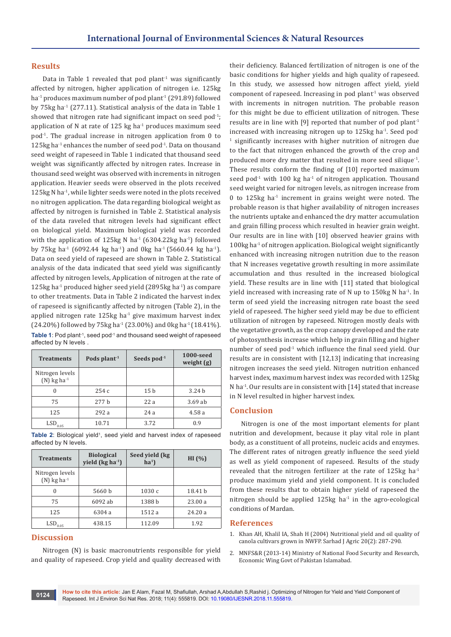## **Results**

Data in Table 1 revealed that pod plant<sup>-1</sup> was significantly affected by nitrogen, higher application of nitrogen i.e. 125kg ha<sup>-1</sup> produces maximum number of pod plant<sup>-1</sup> (291.89) followed by 75 $kg$  ha<sup>-1</sup> (277.11). Statistical analysis of the data in Table 1 showed that nitrogen rate had significant impact on seed pod $-1$ ; application of N at rate of  $125$  kg ha<sup>-1</sup> produces maximum seed pod-1. The gradual increase in nitrogen application from 0 to 125kg ha<sup>-1</sup> enhances the number of seed pod<sup>-1</sup>. Data on thousand seed weight of rapeseed in Table 1 indicated that thousand seed weight was significantly affected by nitrogen rates. Increase in thousand seed weight was observed with increments in nitrogen application. Heavier seeds were observed in the plots received 125kg N ha-1, while lighter seeds were noted in the plots received no nitrogen application. The data regarding biological weight as affected by nitrogen is furnished in Table 2. Statistical analysis of the data raveled that nitrogen levels had significant effect on biological yield. Maximum biological yield was recorded with the application of 125kg N ha<sup>-1</sup> (6304.22kg ha<sup>-1</sup>) followed by 75kg ha<sup>-1</sup> (6092.44 kg ha<sup>-1</sup>) and 0kg ha<sup>-1</sup> (5660.44 kg ha<sup>-1</sup>). Data on seed yield of rapeseed are shown in Table 2. Statistical analysis of the data indicated that seed yield was significantly affected by nitrogen levels, Application of nitrogen at the rate of 125kg ha-1 produced higher seed yield (2895kg ha-1) as compare to other treatments. Data in Table 2 indicated the harvest index of rapeseed is significantly affected by nitrogen (Table 2), in the applied nitrogen rate  $125$ kg ha $^{-1}$  give maximum harvest index (24.20%) followed by 75 kg ha<sup>-1</sup> (23.00%) and 0 kg ha<sup>-1</sup> (18.41%). Table 1: Pod plant<sup>-1</sup>, seed pod<sup>-1</sup> and thousand seed weight of rapeseed affected by N levels

| <b>Treatments</b>                            | Pods plant <sup>-1</sup> | Seeds pod <sup>-1</sup> | 1000-seed<br>weight $(g)$ |
|----------------------------------------------|--------------------------|-------------------------|---------------------------|
| Nitrogen levels<br>$(N)$ kg ha <sup>-1</sup> |                          |                         |                           |
|                                              | 254c                     | 15 <sub>b</sub>         | 3.24 <sub>b</sub>         |
| 75                                           | 277h                     | 22a                     | 3.69ab                    |
| 125                                          | 292a                     | 24a                     | 4.58 a                    |
| $\mathrm{LSD}_{0.05}$                        | 10.71                    | 3.72                    | 0.9                       |

Table 2: Biological yield<sup>1</sup>, seed yield and harvest index of rapeseed affected by N levels.

| <b>Treatments</b>                            | <b>Biological</b><br>yield (kg ha <sup>-1</sup> ) | Seed yield (kg<br>ha <sup>1</sup> | HI $(% )$ |
|----------------------------------------------|---------------------------------------------------|-----------------------------------|-----------|
| Nitrogen levels<br>$(N)$ kg ha <sup>-1</sup> |                                                   |                                   |           |
| $\theta$                                     | 5660 b                                            | 1030c                             | 18.41 b   |
| 75                                           | 6092 ab                                           | 1388 b                            | 23.00a    |
| 125                                          | 6304 a                                            | 1512a                             | 24.20a    |
| LSD<br>0.05                                  | 438.15                                            | 112.09                            | 1.92      |

# **Discussion**

Nitrogen (N) is basic macronutrients responsible for yield and quality of rapeseed. Crop yield and quality decreased with

their deficiency. Balanced fertilization of nitrogen is one of the basic conditions for higher yields and high quality of rapeseed. In this study, we assessed how nitrogen affect yield, yield component of rapeseed. Increasing in pod plant-1 was observed with increments in nitrogen nutrition. The probable reason for this might be due to efficient utilization of nitrogen. These results are in line with [9] reported that number of pod plant<sup>1</sup> increased with increasing nitrogen up to  $125$ kg ha $^{-1}$ . Seed pod-1 significantly increases with higher nutrition of nitrogen due to the fact that nitrogen enhanced the growth of the crop and produced more dry matter that resulted in more seed silique<sup>-1</sup>. These results conform the finding of [10] reported maximum seed pod<sup>-1</sup> with 100 kg ha<sup>-1</sup> of nitrogen application. Thousand seed weight varied for nitrogen levels, as nitrogen increase from 0 to 125 $kg$  ha<sup>-1</sup> increment in grains weight were noted. The probable reason is that higher availability of nitrogen increases the nutrients uptake and enhanced the dry matter accumulation and grain filling process which resulted in heavier grain weight. Our results are in line with [10] observed heavier grains with 100kg ha<sup>-1</sup> of nitrogen application. Biological weight significantly enhanced with increasing nitrogen nutrition due to the reason that N increases vegetative growth resulting in more assimilate accumulation and thus resulted in the increased biological yield. These results are in line with [11] stated that biological yield increased with increasing rate of N up to  $150$ kg N ha<sup>-1</sup>. In term of seed yield the increasing nitrogen rate boast the seed yield of rapeseed. The higher seed yield may be due to efficient utilization of nitrogen by rapeseed. Nitrogen mostly deals with the vegetative growth, as the crop canopy developed and the rate of photosynthesis increase which help in grain filling and higher number of seed pod<sup>-1</sup> which influence the final seed yield. Our results are in consistent with [12,13] indicating that increasing nitrogen increases the seed yield. Nitrogen nutrition enhanced harvest index, maximum harvest index was recorded with 125kg N ha<sup>-1</sup>. Our results are in consistent with [14] stated that increase in N level resulted in higher harvest index.

#### **Conclusion**

Nitrogen is one of the most important elements for plant nutrition and development, because it play vital role in plant body, as a constituent of all proteins, nucleic acids and enzymes. The different rates of nitrogen greatly influence the seed yield as well as yield component of rapeseed. Results of the study revealed that the nitrogen fertilizer at the rate of  $125kg$  ha<sup>-1</sup> produce maximum yield and yield component. It is concluded from these results that to obtain higher yield of rapeseed the nitrogen should be applied  $125$ kg ha $^{-1}$  in the agro-ecological conditions of Mardan.

#### **References**

- 1. [Khan AH, Khalil IA, Shah H \(2004\) Nutritional yield and oil quality of](http://agris.fao.org/agris-search/search.do?recordID=PK2004001147)  [canola cultivars grown in NWFP. Sarhad J Agric 20\(2\): 287-290.](http://agris.fao.org/agris-search/search.do?recordID=PK2004001147)
- 2. MNFS&R (2013-14) Ministry of National Food Security and Research, Economic Wing Govt of Pakistan Islamabad.